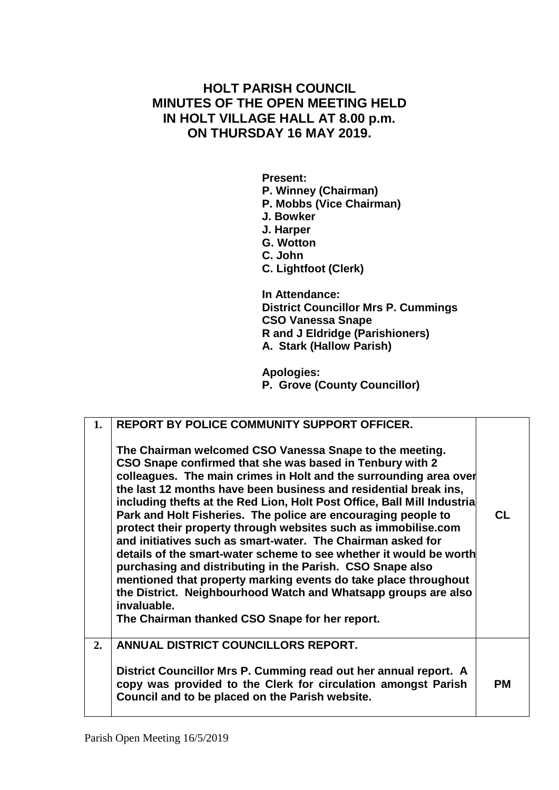# **HOLT PARISH COUNCIL MINUTES OF THE OPEN MEETING HELD IN HOLT VILLAGE HALL AT 8.00 p.m. ON THURSDAY 16 MAY 2019.**

**Present: P. Winney (Chairman) P. Mobbs (Vice Chairman) J. Bowker J. Harper G. Wotton C. John C. Lightfoot (Clerk) In Attendance:**

**District Councillor Mrs P. Cummings CSO Vanessa Snape R and J Eldridge (Parishioners) A. Stark (Hallow Parish)**

**Apologies: P. Grove (County Councillor)**

| 1. | <b>REPORT BY POLICE COMMUNITY SUPPORT OFFICER.</b><br>The Chairman welcomed CSO Vanessa Snape to the meeting.<br>CSO Snape confirmed that she was based in Tenbury with 2<br>colleagues. The main crimes in Holt and the surrounding area over<br>the last 12 months have been business and residential break ins,<br>including thefts at the Red Lion, Holt Post Office, Ball Mill Industria<br>Park and Holt Fisheries. The police are encouraging people to<br>protect their property through websites such as immobilise.com<br>and initiatives such as smart-water. The Chairman asked for<br>details of the smart-water scheme to see whether it would be worth<br>purchasing and distributing in the Parish. CSO Snape also<br>mentioned that property marking events do take place throughout<br>the District. Neighbourhood Watch and Whatsapp groups are also<br>invaluable.<br>The Chairman thanked CSO Snape for her report. | CL. |
|----|------------------------------------------------------------------------------------------------------------------------------------------------------------------------------------------------------------------------------------------------------------------------------------------------------------------------------------------------------------------------------------------------------------------------------------------------------------------------------------------------------------------------------------------------------------------------------------------------------------------------------------------------------------------------------------------------------------------------------------------------------------------------------------------------------------------------------------------------------------------------------------------------------------------------------------------|-----|
| 2. | ANNUAL DISTRICT COUNCILLORS REPORT.<br>District Councillor Mrs P. Cumming read out her annual report. A<br>copy was provided to the Clerk for circulation amongst Parish<br>Council and to be placed on the Parish website.                                                                                                                                                                                                                                                                                                                                                                                                                                                                                                                                                                                                                                                                                                              | PМ  |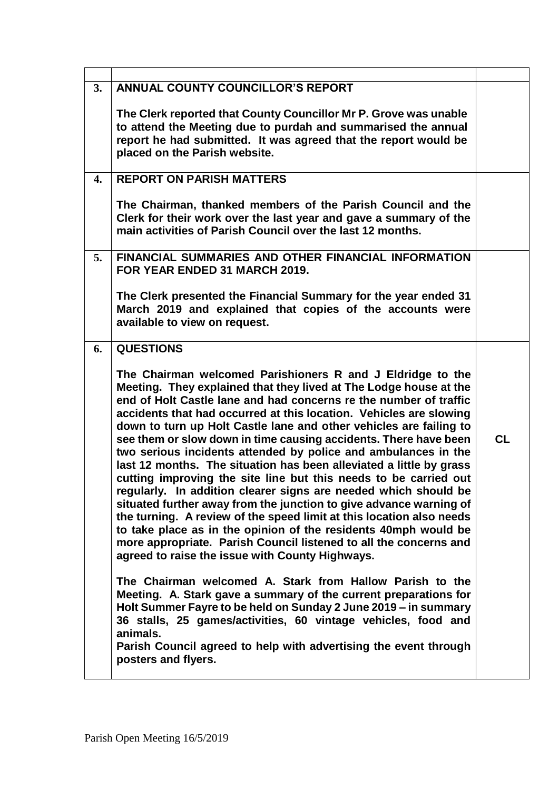| 3. | <b>ANNUAL COUNTY COUNCILLOR'S REPORT</b>                                                                                                                                                                                                                                                                                                                                                                                                                                                                                                                                                                                                                                                                                                                                                                                                                                                                                                                                                                                                      |           |
|----|-----------------------------------------------------------------------------------------------------------------------------------------------------------------------------------------------------------------------------------------------------------------------------------------------------------------------------------------------------------------------------------------------------------------------------------------------------------------------------------------------------------------------------------------------------------------------------------------------------------------------------------------------------------------------------------------------------------------------------------------------------------------------------------------------------------------------------------------------------------------------------------------------------------------------------------------------------------------------------------------------------------------------------------------------|-----------|
|    | The Clerk reported that County Councillor Mr P. Grove was unable<br>to attend the Meeting due to purdah and summarised the annual<br>report he had submitted. It was agreed that the report would be<br>placed on the Parish website.                                                                                                                                                                                                                                                                                                                                                                                                                                                                                                                                                                                                                                                                                                                                                                                                         |           |
| 4. | <b>REPORT ON PARISH MATTERS</b>                                                                                                                                                                                                                                                                                                                                                                                                                                                                                                                                                                                                                                                                                                                                                                                                                                                                                                                                                                                                               |           |
|    | The Chairman, thanked members of the Parish Council and the<br>Clerk for their work over the last year and gave a summary of the<br>main activities of Parish Council over the last 12 months.                                                                                                                                                                                                                                                                                                                                                                                                                                                                                                                                                                                                                                                                                                                                                                                                                                                |           |
| 5. | FINANCIAL SUMMARIES AND OTHER FINANCIAL INFORMATION<br>FOR YEAR ENDED 31 MARCH 2019.                                                                                                                                                                                                                                                                                                                                                                                                                                                                                                                                                                                                                                                                                                                                                                                                                                                                                                                                                          |           |
|    | The Clerk presented the Financial Summary for the year ended 31<br>March 2019 and explained that copies of the accounts were<br>available to view on request.                                                                                                                                                                                                                                                                                                                                                                                                                                                                                                                                                                                                                                                                                                                                                                                                                                                                                 |           |
| 6. | <b>QUESTIONS</b>                                                                                                                                                                                                                                                                                                                                                                                                                                                                                                                                                                                                                                                                                                                                                                                                                                                                                                                                                                                                                              |           |
|    | The Chairman welcomed Parishioners R and J Eldridge to the<br>Meeting. They explained that they lived at The Lodge house at the<br>end of Holt Castle lane and had concerns re the number of traffic<br>accidents that had occurred at this location. Vehicles are slowing<br>down to turn up Holt Castle lane and other vehicles are failing to<br>see them or slow down in time causing accidents. There have been<br>two serious incidents attended by police and ambulances in the<br>last 12 months. The situation has been alleviated a little by grass<br>cutting improving the site line but this needs to be carried out<br>regularly. In addition clearer signs are needed which should be<br>situated further away from the junction to give advance warning of<br>the turning. A review of the speed limit at this location also needs<br>to take place as in the opinion of the residents 40mph would be<br>more appropriate. Parish Council listened to all the concerns and<br>agreed to raise the issue with County Highways. | <b>CL</b> |
|    | The Chairman welcomed A. Stark from Hallow Parish to the<br>Meeting. A. Stark gave a summary of the current preparations for<br>Holt Summer Fayre to be held on Sunday 2 June 2019 – in summary<br>36 stalls, 25 games/activities, 60 vintage vehicles, food and<br>animals.<br>Parish Council agreed to help with advertising the event through<br>posters and flyers.                                                                                                                                                                                                                                                                                                                                                                                                                                                                                                                                                                                                                                                                       |           |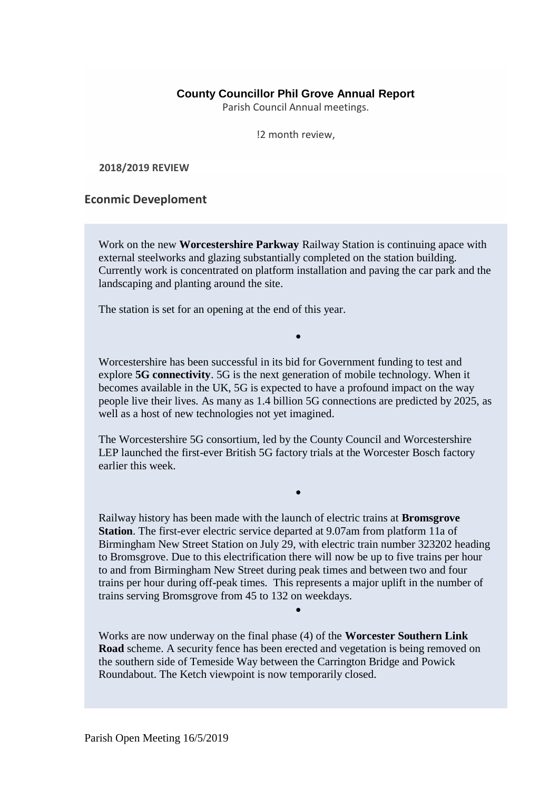## **County Councillor Phil Grove Annual Report**

Parish Council Annual meetings.

!2 month review,

**2018/2019 REVIEW**

## **Econmic Deveploment**

Work on the new **Worcestershire Parkway** Railway Station is continuing apace with external steelworks and glazing substantially completed on the station building. Currently work is concentrated on platform installation and paving the car park and the landscaping and planting around the site.

The station is set for an opening at the end of this year.

Worcestershire has been successful in its bid for Government funding to test and explore **5G connectivity**. 5G is the next generation of mobile technology. When it becomes available in the UK, 5G is expected to have a profound impact on the way people live their lives. As many as 1.4 billion 5G connections are predicted by 2025, as well as a host of new technologies not yet imagined.

•

The Worcestershire 5G consortium, led by the County Council and Worcestershire LEP launched the first-ever British 5G factory trials at the Worcester Bosch factory earlier this week.

Railway history has been made with the launch of electric trains at **Bromsgrove Station**. The first-ever electric service departed at 9.07am from platform 11a of Birmingham New Street Station on July 29, with electric train number 323202 heading to Bromsgrove. Due to this electrification there will now be up to five trains per hour to and from Birmingham New Street during peak times and between two and four trains per hour during off-peak times. This represents a major uplift in the number of trains serving Bromsgrove from 45 to 132 on weekdays.

•

•

Works are now underway on the final phase (4) of the **Worcester Southern Link Road** scheme. A security fence has been erected and vegetation is being removed on the southern side of Temeside Way between the Carrington Bridge and Powick Roundabout. The Ketch viewpoint is now temporarily closed.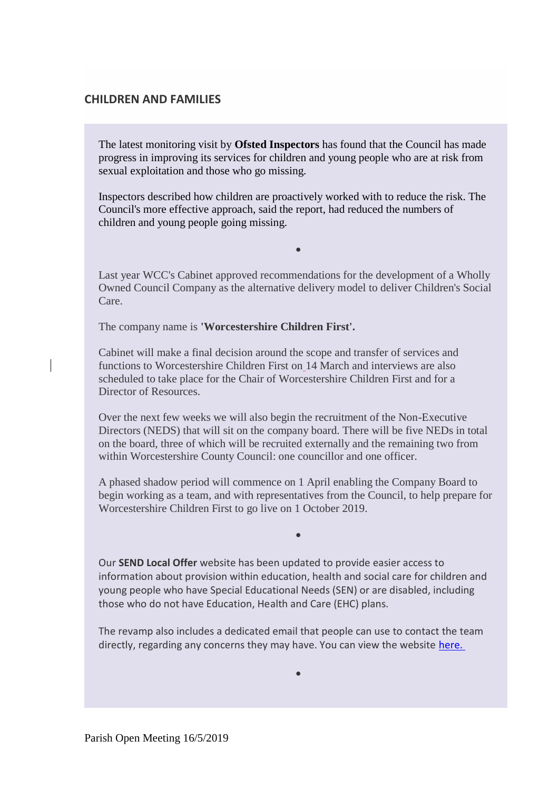## **CHILDREN AND FAMILIES**

The latest monitoring visit by **Ofsted Inspectors** has found that the Council has made progress in improving its services for children and young people who are at risk from sexual exploitation and those who go missing.

Inspectors described how children are proactively worked with to reduce the risk. The Council's more effective approach, said the report, had reduced the numbers of children and young people going missing.

Last year WCC's Cabinet approved recommendations for the development of a Wholly Owned Council Company as the alternative delivery model to deliver Children's Social Care.

•

The company name is **'Worcestershire Children First'.**

Cabinet will make a final decision around the scope and transfer of services and functions to Worcestershire Children First on 14 March and interviews are also scheduled to take place for the Chair of Worcestershire Children First and for a Director of Resources.

Over the next few weeks we will also begin the recruitment of the Non-Executive Directors (NEDS) that will sit on the company board. There will be five NEDs in total on the board, three of which will be recruited externally and the remaining two from within Worcestershire County Council: one councillor and one officer.

A phased shadow period will commence on 1 April enabling the Company Board to begin working as a team, and with representatives from the Council, to help prepare for Worcestershire Children First to go live on 1 October 2019.

•

Our **SEND Local Offer** website has been updated to provide easier access to information about provision within education, health and social care for children and young people who have Special Educational Needs (SEN) or are disabled, including those who do not have Education, Health and Care (EHC) plans.

The revamp also includes a dedicated email that people can use to contact the team directly, regarding any concerns they may have. You can view the website [here.](http://www.worcestershire.gov.uk/sendlocaloffer)

•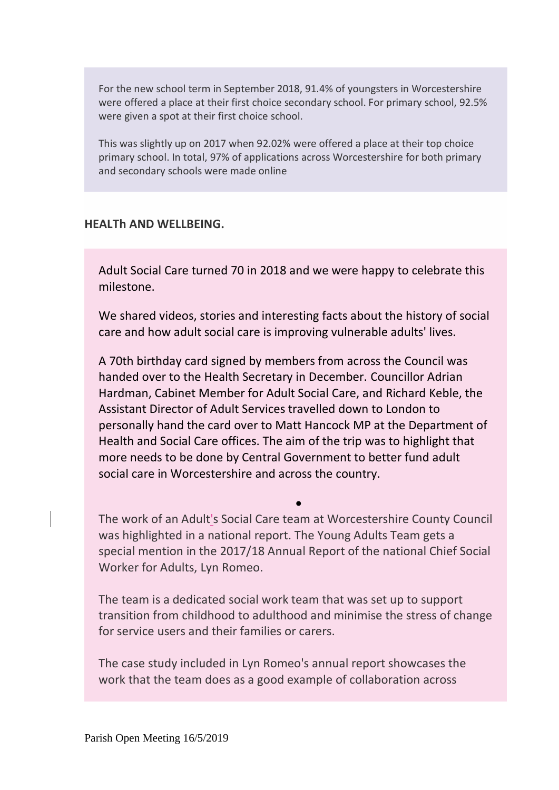For the new school term in September 2018, 91.4% of youngsters in Worcestershire were offered a place at their first choice secondary school. For primary school, 92.5% were given a spot at their first choice school.

This was slightly up on 2017 when 92.02% were offered a place at their top choice primary school. In total, 97% of applications across Worcestershire for both primary and secondary schools were made online

# **HEALTh AND WELLBEING.**

Adult Social Care turned 70 in 2018 and we were happy to celebrate this milestone.

We shared videos, stories and interesting facts about the history of social care and how adult social care is improving vulnerable adults' lives.

A 70th birthday card signed by members from across the Council was handed over to the Health Secretary in December. Councillor Adrian Hardman, Cabinet Member for Adult Social Care, and Richard Keble, the Assistant Director of Adult Services travelled down to London to personally hand the card over to Matt Hancock MP at the Department of Health and Social Care offices. The aim of the trip was to highlight that more needs to be done by Central Government to better fund adult social care in Worcestershire and across the country.

The work of an Adult's Social Care team at Worcestershire County Council was highlighted in a national report. The Young Adults Team gets a special mention in the 2017/18 Annual Report of the national Chief Social Worker for Adults, Lyn Romeo.

•

The team is a dedicated social work team that was set up to support transition from childhood to adulthood and minimise the stress of change for service users and their families or carers.

The case study included in Lyn Romeo's annual report showcases the work that the team does as a good example of collaboration across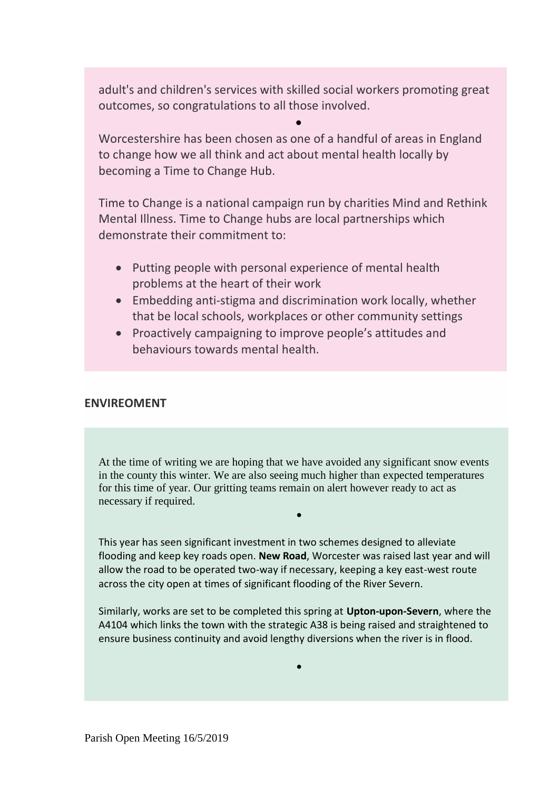adult's and children's services with skilled social workers promoting great outcomes, so congratulations to all those involved.

•

Worcestershire has been chosen as one of a handful of areas in England to change how we all think and act about mental health locally by becoming a Time to Change Hub.

Time to Change is a national campaign run by charities Mind and Rethink Mental Illness. Time to Change hubs are local partnerships which demonstrate their commitment to:

- Putting people with personal experience of mental health problems at the heart of their work
- Embedding anti-stigma and discrimination work locally, whether that be local schools, workplaces or other community settings
- Proactively campaigning to improve people's attitudes and behaviours towards mental health.

# **ENVIREOMENT**

At the time of writing we are hoping that we have avoided any significant snow events in the county this winter. We are also seeing much higher than expected temperatures for this time of year. Our gritting teams remain on alert however ready to act as necessary if required.

•

This year has seen significant investment in two schemes designed to alleviate flooding and keep key roads open. **New Road**, Worcester was raised last year and will allow the road to be operated two-way if necessary, keeping a key east-west route across the city open at times of significant flooding of the River Severn.

Similarly, works are set to be completed this spring at **Upton-upon-Severn**, where the A4104 which links the town with the strategic A38 is being raised and straightened to ensure business continuity and avoid lengthy diversions when the river is in flood.

•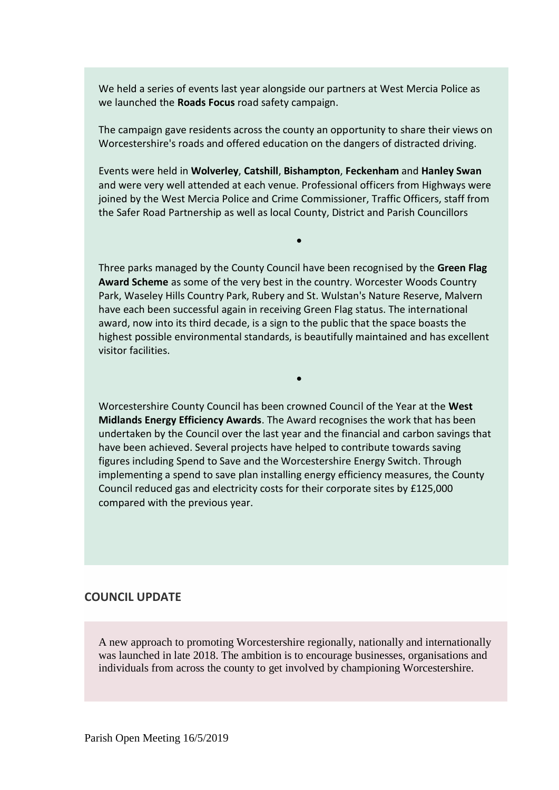We held a series of events last year alongside our partners at West Mercia Police as we launched the **Roads Focus** road safety campaign.

The campaign gave residents across the county an opportunity to share their views on Worcestershire's roads and offered education on the dangers of distracted driving.

Events were held in **Wolverley**, **Catshill**, **Bishampton**, **Feckenham** and **Hanley Swan** and were very well attended at each venue. Professional officers from Highways were joined by the West Mercia Police and Crime Commissioner, Traffic Officers, staff from the Safer Road Partnership as well as local County, District and Parish Councillors

•

Three parks managed by the County Council have been recognised by the **Green Flag Award Scheme** as some of the very best in the country. Worcester Woods Country Park, Waseley Hills Country Park, Rubery and St. Wulstan's Nature Reserve, Malvern have each been successful again in receiving Green Flag status. The international award, now into its third decade, is a sign to the public that the space boasts the highest possible environmental standards, is beautifully maintained and has excellent visitor facilities.

•

Worcestershire County Council has been crowned Council of the Year at the **West Midlands Energy Efficiency Awards**. The Award recognises the work that has been undertaken by the Council over the last year and the financial and carbon savings that have been achieved. Several projects have helped to contribute towards saving figures including Spend to Save and the Worcestershire Energy Switch. Through implementing a spend to save plan installing energy efficiency measures, the County Council reduced gas and electricity costs for their corporate sites by £125,000 compared with the previous year.

#### **COUNCIL UPDATE**

A new approach to promoting Worcestershire regionally, nationally and internationally was launched in late 2018. The ambition is to encourage businesses, organisations and individuals from across the county to get involved by championing Worcestershire.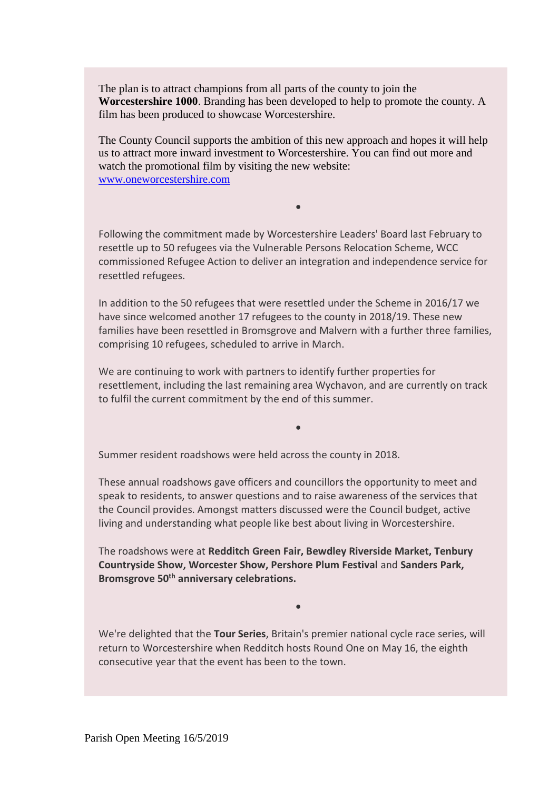The plan is to attract champions from all parts of the county to join the **Worcestershire 1000**. Branding has been developed to help to promote the county. A film has been produced to showcase Worcestershire.

The County Council supports the ambition of this new approach and hopes it will help us to attract more inward investment to Worcestershire. You can find out more and watch the promotional film by visiting the new website: [www.oneworcestershire.com](http://www.oneworcestershire.com/)

•

Following the commitment made by Worcestershire Leaders' Board last February to resettle up to 50 refugees via the Vulnerable Persons Relocation Scheme, WCC commissioned Refugee Action to deliver an integration and independence service for resettled refugees.

In addition to the 50 refugees that were resettled under the Scheme in 2016/17 we have since welcomed another 17 refugees to the county in 2018/19. These new families have been resettled in Bromsgrove and Malvern with a further three families, comprising 10 refugees, scheduled to arrive in March.

We are continuing to work with partners to identify further properties for resettlement, including the last remaining area Wychavon, and are currently on track to fulfil the current commitment by the end of this summer.

•

Summer resident roadshows were held across the county in 2018.

These annual roadshows gave officers and councillors the opportunity to meet and speak to residents, to answer questions and to raise awareness of the services that the Council provides. Amongst matters discussed were the Council budget, active living and understanding what people like best about living in Worcestershire.

The roadshows were at **Redditch Green Fair, Bewdley Riverside Market, Tenbury Countryside Show, Worcester Show, Pershore Plum Festival** and **Sanders Park, Bromsgrove 50th anniversary celebrations.**

We're delighted that the **Tour Series**, Britain's premier national cycle race series, will return to Worcestershire when Redditch hosts Round One on May 16, the eighth consecutive year that the event has been to the town.

•